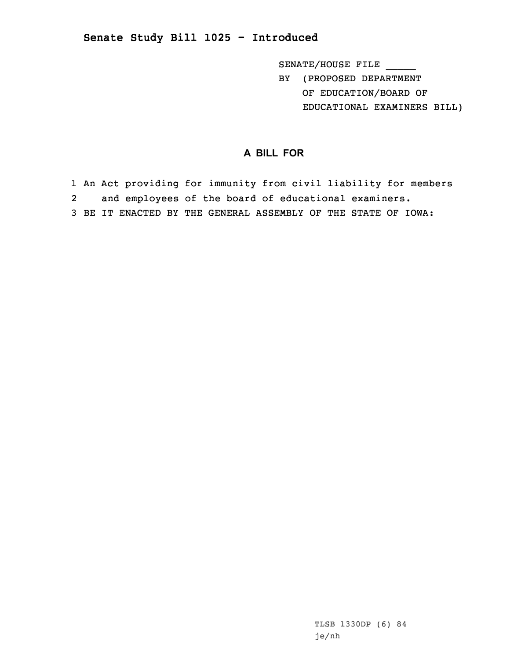## **Senate Study Bill 1025 - Introduced**

SENATE/HOUSE FILE

BY (PROPOSED DEPARTMENT OF EDUCATION/BOARD OF EDUCATIONAL EXAMINERS BILL)

## **A BILL FOR**

1 An Act providing for immunity from civil liability for members 2 and employees of the board of educational examiners. 3 BE IT ENACTED BY THE GENERAL ASSEMBLY OF THE STATE OF IOWA:

> TLSB 1330DP (6) 84 je/nh